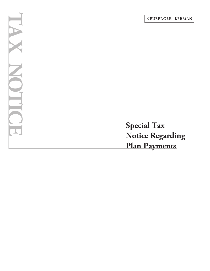**Special Tax Notice Regarding Plan Payments**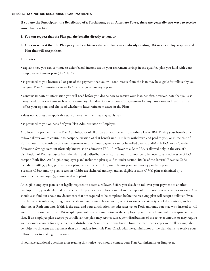**If you are the Participant, the Beneficiary of a Participant, or an Alternate Payee, there are generally two ways to receive your Plan benefits:**

- **1. You can request that the Plan pay the benefits directly to you, or**
- **2. You can request that the Plan pay your benefits as a direct rollover to an already-existing IRA or an employer-sponsored Plan that will accept them.**

This notice:

- explains how you can continue to defer federal income tax on your retirement savings in the qualified plan you hold with your employer retirement plan (the "Plan");
- is provided to you because all or part of the payment that you will soon receive from the Plan may be eligible for rollover by you or your Plan Administrator to an IRA or an eligible employer plan;
- contains important information you will need before you decide how to receive your Plan benefits, however, note that you also may need to review items such as your summary plan description or custodial agreement for any provisions and fees that may affect your options and choice of whether to leave retirement assets in the Plan;
- **does not** address any applicable state or local tax rules that may apply; and
- is provided to you on behalf of your Plan Administrator or Employer.

A rollover is a payment by the Plan Administrator of all or part of your benefit to another plan or IRA. Paying your benefit as a rollover allows you to continue to postpone taxation of that benefit until it is later withdrawn and paid to you, or in the case of Roth amounts, to continue tax-free investment returns. Your payment cannot be rolled over to a SIMPLE IRA, or a Coverdell Education Savings Account (formerly known as an education IRA). A rollover to a Roth IRA is allowed only in the case of a distribution of Roth amounts from the Plan, and a distribution of Roth amounts cannot be rolled over to any other type of IRA except a Roth IRA. An "eligible employer plan" includes a plan qualified under section 401(a) of the Internal Revenue Code, including a 401(k) plan, profit-sharing plan, defined benefit plan, stock bonus plan, and money purchase plan; a section 403(a) annuity plan; a section 403(b) tax-sheltered annuity; and an eligible section 457(b) plan maintained by a governmental employer (governmental 457 plan).

An eligible employer plan is not legally required to accept a rollover. Before you decide to roll over your payment to another employer plan, you should find out whether the plan accepts rollovers and, if so, the types of distributions it accepts as a rollover. You should also find out about any documents that are required to be completed before the receiving plan will accept a rollover. Even if a plan accepts rollovers, it might not be allowed to, or may choose not to, accept rollovers of certain types of distributions, such as after-tax or Roth amounts. If this is the case, and your distribution includes after-tax or Roth amounts, you may wish instead to roll your distribution over to an IRA or split your rollover amount between the employer plan in which you will participate and an IRA. If an employer plan accepts your rollover, the plan may restrict subsequent distributions of the rollover amount or may require your spouse's consent for any subsequent distribution. A subsequent distribution from the plan that accepts your rollover may also be subject to different tax treatment than distributions from this Plan. Check with the administrator of the plan that is to receive your rollover prior to making the rollover.

If you have additional questions after reading this notice, you should contact your Plan Administrator or Employer.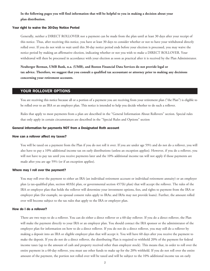## **In the following pages you will find information that will be helpful to you in making a decision about your plan distribution.**

#### Your right to waive the 30-Day Notice Period

Generally, neither a DIRECT ROLLOVER nor a payment can be made from the plan until at least 30 days after your receipt of this notice. Thus, after receiving this notice, you have at least 30 days to consider whether or not to have your withdrawal directly rolled over. If you do not wish to wait until this 30-day notice period ends before your election is processed, you may waive the notice period by making an affirmative election, indicating whether or not you wish to make a DIRECT ROLLOVER. Your withdrawal will then be processed in accordance with your election as soon as practical after it is received by the Plan Administrator.

**Neuberger Berman, UMB Bank, n.a. (UMB), and Boston Financial Data Services do not provide legal or tax advice. Therefore, we suggest that you consult a qualified tax accountant or attorney prior to making any decisions concerning your retirement accounts.** 

## YOUR ROLLOVER OPTIONS

You are receiving this notice because all or a portion of a payment you are receiving from your retirement plan ("the Plan") is eligible to be rolled over to an IRA or an employer plan. This notice is intended to help you decide whether to do such a rollover.

Rules that apply to most payments from a plan are described in the "General Information About Rollovers" section. Special rules that only apply in certain circumstances are described in the "Special Rules and Options" section

## General information for payments NOT from a Designated Roth account

#### How can a rollover affect my taxes?

You will be taxed on a payment from the Plan if you do not roll it over. If you are under age 59½ and do not do a rollover, you will also have to pay a 10% additional income tax on early distributions (unless an exception applies). However, if you do a rollover, you will not have to pay tax until you receive payments later and the 10% additional income tax will not apply if those payments are made after you are age 59½ (or if an exception applies).

### Where may I roll over the payment?

You may roll over the payment to either an IRA (an individual retirement account or individual retirement annuity) or an employer plan (a tax-qualified plan, section 403(b) plan, or governmental section 457(b) plan) that will accept the rollover. The rules of the IRA or employer plan that holds the rollover will determine your investment options, fees, and rights to payment from the IRA or employer plan (for example, no spousal consent rules apply to IRAs; and IRAs may not provide loans). Further, the amount rolled over will become subject to the tax rules that apply to the IRA or employer plan.

## How do I do a rollover?

There are two ways to do a rollover. You can do either a direct rollover or a 60-day rollover. If you do a direct rollover, the Plan will make the payment directly to your IRA or an employer plan. You should contact the IRA sponsor or the administrator of the employer plan for information on how to do a direct rollover. If you do not do a direct rollover, you may still do a rollover by making a deposit into an IRA or eligible employer plan that will accept it. You will have 60 days after you receive the payment to make the deposit. If you do not do a direct rollover, the distributing Plan is required to withhold 20% of the payment for federal income taxes (up to the amount of cash and property received other than employer stock). This means that, in order to roll over the entire payment in a 60-day rollover, you must use other funds to make up for the 20% withheld. If you do not roll over the entire amount of the payment, the portion not rolled over will be taxed and will be subject to the 10% additional income tax on early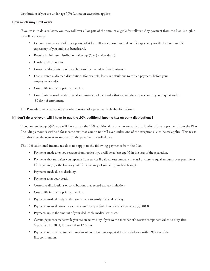distributions if you are under age 59½ (unless an exception applies).

## How much may I roll over?

If you wish to do a rollover, you may roll over all or part of the amount eligible for rollover. Any payment from the Plan is eligible for rollover, except

- Certain payments spread over a period of at least 10 years or over your life or life expectancy (or the lives or joint life expectancy of you and your beneficiary).
- Required minimum distributions after age 70½ (or after death).
- Hardship distributions.
- Corrective distributions of contributions that exceed tax law limitations.
- Loans treated as deemed distributions (for example, loans in default due to missed payments before your employment ends).
- Cost of life insurance paid by the Plan.
- Contributions made under special automatic enrollment rules that are withdrawn pursuant to your request within 90 days of enrollment.

The Plan administrator can tell you what portion of a payment is eligible for rollover.

## If I don't do a rollover, will I have to pay the 10% additional income tax on early distributions?

If you are under age 59½, you will have to pay the 10% additional income tax on early distributions for any payment from the Plan (including amounts withheld for income tax) that you do not roll over, unless one of the exceptions listed below applies. This tax is in addition to the regular income tax on the payment not rolled over.

The 10% additional income tax does not apply to the following payments from the Plan:

- Payments made after you separate from service if you will be at least age 55 in the year of the separation.
- Payments that start after you separate from service if paid at least annually in equal or close to equal amounts over your life or life expectancy (or the lives or joint life expectancy of you and your beneficiary).
- Payments made due to disability.
- Payments after your death.
- Corrective distributions of contributions that exceed tax law limitations.
- Cost of life insurance paid by the Plan.
- Payments made directly to the government to satisfy a federal tax levy.
- Payments to an alternate payee made under a qualified domestic relations order (QDRO).
- Payments up to the amount of your deductible medical expenses.
- Certain payments made while you are on active duty if you were a member of a reserve component called to duty after September 11, 2001, for more than 179 days.
- Payments of certain automatic enrollment contributions requested to be withdrawn within 90 days of the first contribution.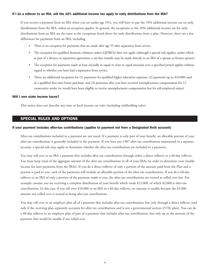## If I do a rollover to an IRA, will the 10% additional income tax apply to early distributions from the IRA?

If you receive a payment from an IRA when you are under age 59½, you will have to pay the 10% additional income tax on early distributions from the IRA, unless an exception applies. In general, the exceptions to the 10% additional income tax for early distributions from an IRA are the same as the exceptions listed above for early distributions from a plan. However, there are a few differences for payments from an IRA, including

- There is no exception for payments that are made after age 55 after separation from service.
- The exception for qualified domestic relations orders (QDROs) does not apply (although a special rule applies, under which, as part of a divorce or separation agreement, a tax-free transfer may be made directly to an IRA of a spouse or former spouse).
- The exception for payments made at least annually in equal or close to equal amounts over a specified period applies without regard to whether you have had a separation from service.
- There are additional exceptions for (1) payments for qualified higher education expenses, (2) payments up to \$10,000 used in a qualified first-time home purchase, and (3) payments after you have received unemployment compensation for 12 consecutive weeks (or would have been eligible to receive unemployment compensation but for self-employed status).

#### Will I owe state income taxes?

This notice does not describe any state or local income tax rules (including withholding rules).

## SPECIAL RULES AND OPTIONS

#### If your payment includes after-tax contributions (applies to payment not from a Designated Roth account)

After-tax contributions included in a payment are not taxed. If a payment is only part of your benefit, an allocable portion of your after-tax contributions is generally included in the payment. If you have pre-1987 after-tax contributions maintained in a separate account, a special rule may apply to determine whether the after-tax contributions are included in a payment.

You may roll over to an IRA a payment that includes after-tax contributions through either a direct rollover or a 60-day rollover. You must keep track of the aggregate amount of the after-tax contributions in all of your IRAs (in order to determine your taxable income for later payments from the IRAs). If you do a direct rollover of only a portion of the amount paid from the Plan and a portion is paid to you, each of the payments will include an allocable portion of the after-tax contributions. If you do a 60-day rollover to an IRA of only a portion of the payment made to you, the after-tax contributions are treated as rolled over last. For example, assume you are receiving a complete distribution of your benefit which totals \$12,000, of which \$2,000 is after-tax contributions. In this case, if you roll over \$10,000 to an IRA in a 60-day rollover, no amount is taxable because the \$2,000 amount not rolled over is treated as being after-tax contributions.

You may roll over to an employer plan all of a payment that includes after-tax contributions, but only through a direct rollover (and only if the receiving plan separately accounts for after-tax contributions and is not a governmental section 457(b) plan). You can do a 60-day rollover to an employer plan of part of a payment that includes after-tax contributions, but only up to the amount of the payment that would be taxable if not rolled over.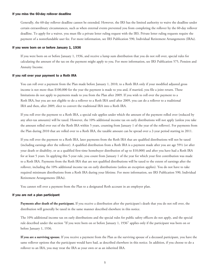#### If you miss the 60-day rollover deadline

Generally, the 60-day rollover deadline cannot be extended. However, the IRS has the limited authority to waive the deadline under certain extraordinary circumstances, such as when external events prevented you from completing the rollover by the 60-day rollover deadline. To apply for a waiver, you must file a private letter ruling request with the IRS. Private letter ruling requests require the payment of a nonrefundable user fee. For more information, see IRS Publication 590, Individual Retirement Arrangements (IRAs).

### If you were born on or before January 1, 1936

If you were born on or before January 1, 1936, and receive a lump sum distribution that you do not roll over, special rules for calculating the amount of the tax on the payment might apply to you. For more information, see IRS Publication 575, Pension and Annuity Income.

### If you roll over your payment to a Roth IRA

You can roll over a payment from the Plan made before January 1, 2010, to a Roth IRA only if your modified adjusted gross income is not more than \$100,000 for the year the payment is made to you and, if married, you file a joint return. These limitations do not apply to payments made to you from the Plan after 2009. If you wish to roll over the payment to a Roth IRA, but you are not eligible to do a rollover to a Roth IRA until after 2009, you can do a rollover to a traditional IRA and then, after 2009, elect to convert the traditional IRA into a Roth IRA.

If you roll over the payment to a Roth IRA, a special rule applies under which the amount of the payment rolled over (reduced by any after-tax amounts) will be taxed. However, the 10% additional income tax on early distributions will not apply (unless you take the amount rolled over out of the Roth IRA within 5 years, counting from January 1 of the year of the rollover). For payments from the Plan during 2010 that are rolled over to a Roth IRA, the taxable amount can be spread over a 2-year period starting in 2011.

If you roll over the payment to a Roth IRA, later payments from the Roth IRA that are qualified distributions will not be taxed (including earnings after the rollover). A qualified distribution from a Roth IRA is a payment made after you are age 59½ (or after your death or disability, or as a qualified first-time homebuyer distribution of up to \$10,000) and after you have had a Roth IRA for at least 5 years. In applying this 5-year rule, you count from January 1 of the year for which your first contribution was made to a Roth IRA. Payments from the Roth IRA that are not qualified distributions will be taxed to the extent of earnings after the rollover, including the 10% additional income tax on early distributions (unless an exception applies). You do not have to take required minimum distributions from a Roth IRA during your lifetime. For more information, see IRS Publication 590, Individual Retirement Arrangements (IRAs).

You cannot roll over a payment from the Plan to a designated Roth account in an employer plan.

#### If you are not a plan participant

**Payments after death of the participant.** If you receive a distribution after the participant's death that you do not roll over, the distribution will generally be taxed in the same manner described elsewhere in this notice.

The 10% additional income tax on early distributions and the special rules for public safety officers do not apply, and the special rule described under the section "If you were born on or before January 1, 1936" applies only if the participant was born on or before January 1, 1936.

**If you are a surviving spouse.** If you receive a payment from the Plan as the surviving spouse of a deceased participant, you have the same rollover options that the participant would have had, as described elsewhere in this notice. In addition, if you choose to do a rollover to an IRA, you may treat the IRA as your own or as an inherited IRA.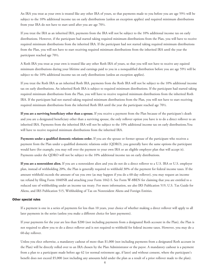An IRA you treat as your own is treated like any other IRA of yours, so that payments made to you before you are age 59½ will be subject to the 10% additional income tax on early distributions (unless an exception applies) and required minimum distributions from your IRA do not have to start until after you are age 70½.

If you treat the IRA as an inherited IRA, payments from the IRA will not be subject to the 10% additional income tax on early distributions. However, if the participant had started taking required minimum distributions from the Plan, you will have to receive required minimum distributions from the inherited IRA. If the participant had not started taking required minimum distributions from the Plan, you will not have to start receiving required minimum distributions from the inherited IRA until the year the participant reached age 70½.

A Roth IRA you treat as your own is treated like any other Roth IRA of yours, so that you will not have to receive any equired minimum distributions during your lifetime and earnings paid to you in a nonqualified distribution before you are age 59½ will be subject to the 10% additional income tax on early distributions (unless an exception applies).

If you treat the Roth IRA as an inherited Roth IRA, payments from the Roth IRA will not be subject to the 10% additional income tax on early distributions. An inherited Roth IRA is subject to required minimum distributions. If the participant had started taking required minimum distributions from the Plan, you will have to receive required minimum distributions from the inherited Roth IRA. If the participant had not started taking required minimum distributions from the Plan, you will not have to start receiving required minimum distributions from the inherited Roth IRA until the year the participant reached age 70½.

**If you are a surviving beneficiary other than a spouse.** If you receive a payment from the Plan because of the participant's death and you are a designated beneficiary other than a surviving spouse, the only rollover option you have is to do a direct rollover to an inherited IRA. Payments from the inherited IRA will not be subject to the 10% additional income tax on early distributions.You will have to receive required minimum distributions from the inherited IRA.

**Payments under a qualified domestic relations order.** If you are the spouse or former spouse of the participant who receives a payment from the Plan under a qualified domestic relations order (QDRO), you generally have the same options the participant would have (for example, you may roll over the payment to your own IRA or an eligible employer plan that will accept it). Payments under the QDRO will not be subject to the 10% additional income tax on early distributions.

**If you are a nonresident alien.** If you are a nonresident alien and you do not do a direct rollover to a U.S. IRA or U.S. employer plan, instead of withholding 20%, the Plan is generally required to withhold 30% of the payment for federal income taxes. If the amount withheld exceeds the amount of tax you owe (as may happen if you do a 60-day rollover), you may request an income tax refund by filing Form 1040NR and attaching your Form 1042-S. See Form W-8BEN for claiming that you are entitled to a reduced rate of withholding under an income tax treaty. For more information, see also IRS Publication 519, U.S. Tax Guide for Aliens, and IRS Publication 515, Withholding of Tax on Nonresident Aliens and Foreign Entities.

## Other special rules

If a payment is one in a series of payments for less than 10 years, your choice of whether making a direct rollover will apply to all later payments in the series (unless you make a different choice for later payments).

If your payments for the year are less than \$200 (not including payments from a designated Roth account in the Plan), the Plan is not required to allow you to do a direct rollover and is not required to withhold for federal income taxes. However, you may do a 60-day rollover.

Unless you elect otherwise, a mandatory cashout of more than \$1,000 (not including payments from a designated Roth account in the Plan) will be directly rolled over to an IRA chosen by the Plan Administrator or the payor. A mandatory cashout is a payment from a plan to a participant made before age 62 (or normal retirement age, if later) and without consent, where the participant's benefit does not exceed \$5,000 (not including any amounts held under the plan as a result of a prior rollover made to the plan).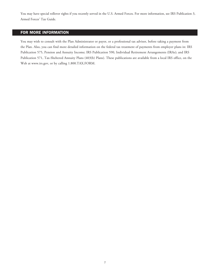You may have special rollover rights if you recently served in the U.S. Armed Forces. For more information, see IRS Publication 3, Armed Forces' Tax Guide.

# FOR MORE INFORMATION

You may wish to consult with the Plan Administrator or payor, or a professional tax advisor, before taking a payment from the Plan. Also, you can find more detailed information on the federal tax treatment of payments from employer plans in: IRS Publication 575, Pension and Annuity Income; IRS Publication 590, Individual Retirement Arrangements (IRAs); and IRS Publication 571, Tax-Sheltered Annuity Plans (403(b) Plans). These publications are available from a local IRS office, on the Web at www.irs.gov, or by calling 1.800.TAX.FORM.